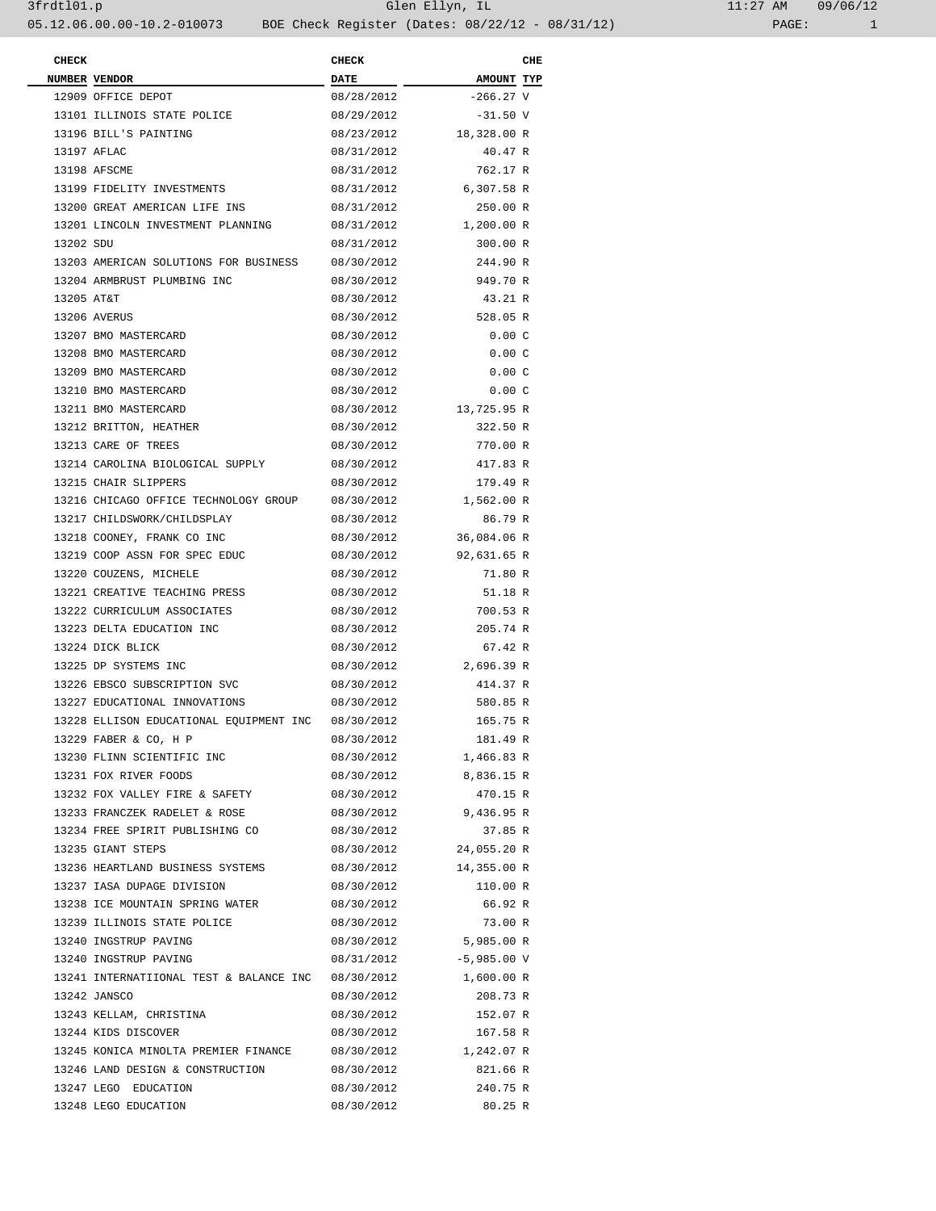| <b>CHECK</b> |                                                    | <b>CHECK</b> |                        | CHE |
|--------------|----------------------------------------------------|--------------|------------------------|-----|
|              | NUMBER VENDOR                                      | <b>DATE</b>  | AMOUNT TYP             |     |
|              | 12909 OFFICE DEPOT                                 | 08/28/2012   | $-266.27$ V            |     |
|              | 13101 ILLINOIS STATE POLICE                        | 08/29/2012   | $-31.50$ V             |     |
|              | 13196 BILL'S PAINTING                              | 08/23/2012   | 18,328.00 R            |     |
|              | 13197 AFLAC                                        | 08/31/2012   | 40.47 R                |     |
|              | 13198 AFSCME                                       | 08/31/2012   | 762.17 R               |     |
|              | 13199 FIDELITY INVESTMENTS                         | 08/31/2012   | 6,307.58 R             |     |
|              | 13200 GREAT AMERICAN LIFE INS                      | 08/31/2012   | 250.00 R               |     |
|              | 13201 LINCOLN INVESTMENT PLANNING                  | 08/31/2012   | 1,200.00 R             |     |
| 13202 SDU    |                                                    | 08/31/2012   | 300.00 R               |     |
|              | 13203 AMERICAN SOLUTIONS FOR BUSINESS              | 08/30/2012   | 244.90 R               |     |
|              |                                                    |              |                        |     |
|              | 13204 ARMBRUST PLUMBING INC                        | 08/30/2012   | 949.70 R               |     |
| 13205 AT&T   |                                                    | 08/30/2012   | 43.21 R                |     |
|              | 13206 AVERUS                                       | 08/30/2012   | 528.05 R               |     |
|              | 13207 BMO MASTERCARD                               | 08/30/2012   | 0.00C                  |     |
|              | 13208 BMO MASTERCARD                               | 08/30/2012   | 0.00C                  |     |
|              | 13209 BMO MASTERCARD                               | 08/30/2012   | 0.00C                  |     |
|              | 13210 BMO MASTERCARD                               | 08/30/2012   | 0.00C                  |     |
|              | 13211 BMO MASTERCARD                               | 08/30/2012   | 13,725.95 R            |     |
|              | 13212 BRITTON, HEATHER                             | 08/30/2012   | 322.50 R               |     |
|              | 13213 CARE OF TREES                                | 08/30/2012   | 770.00 R               |     |
|              | 13214 CAROLINA BIOLOGICAL SUPPLY                   | 08/30/2012   | 417.83 R               |     |
|              | 13215 CHAIR SLIPPERS                               | 08/30/2012   | 179.49 R               |     |
|              | 13216 CHICAGO OFFICE TECHNOLOGY GROUP              | 08/30/2012   | 1,562.00 R             |     |
|              | 13217 CHILDSWORK/CHILDSPLAY                        | 08/30/2012   | 86.79 R                |     |
|              | 13218 COONEY, FRANK CO INC                         | 08/30/2012   | 36,084.06 R            |     |
|              | 13219 COOP ASSN FOR SPEC EDUC                      | 08/30/2012   | 92,631.65 R            |     |
|              | 13220 COUZENS, MICHELE                             | 08/30/2012   | 71.80 R                |     |
|              | 13221 CREATIVE TEACHING PRESS                      | 08/30/2012   | 51.18 R                |     |
|              | 13222 CURRICULUM ASSOCIATES                        | 08/30/2012   | 700.53 R               |     |
|              | 13223 DELTA EDUCATION INC                          | 08/30/2012   | 205.74 R               |     |
|              | 13224 DICK BLICK                                   | 08/30/2012   | 67.42 R                |     |
|              | 13225 DP SYSTEMS INC                               | 08/30/2012   | 2,696.39 R             |     |
|              | 13226 EBSCO SUBSCRIPTION SVC                       | 08/30/2012   | 414.37 R               |     |
|              | 13227 EDUCATIONAL INNOVATIONS                      | 08/30/2012   | 580.85 R               |     |
|              | 13228 ELLISON EDUCATIONAL EQUIPMENT INC            | 08/30/2012   | 165.75 R               |     |
|              |                                                    |              |                        |     |
|              | 13229 FABER & CO, H P                              | 08/30/2012   | 181.49 R               |     |
|              | 13230 FLINN SCIENTIFIC INC                         | 08/30/2012   | 1,466.83 R             |     |
|              | 13231 FOX RIVER FOODS                              | 08/30/2012   | 8,836.15 R             |     |
|              | 13232 FOX VALLEY FIRE & SAFETY                     | 08/30/2012   | 470.15 R               |     |
|              | 13233 FRANCZEK RADELET & ROSE                      | 08/30/2012   | 9,436.95 R             |     |
|              | 13234 FREE SPIRIT PUBLISHING CO                    | 08/30/2012   | 37.85 R                |     |
|              | 13235 GIANT STEPS                                  |              | 08/30/2012 24,055.20 R |     |
|              | 13236 HEARTLAND BUSINESS SYSTEMS                   | 08/30/2012   | 14,355.00 R            |     |
|              | 13237 IASA DUPAGE DIVISION                         | 08/30/2012   | 110.00 R               |     |
|              | 13238 ICE MOUNTAIN SPRING WATER                    | 08/30/2012   | 66.92 R                |     |
|              | 13239 ILLINOIS STATE POLICE                        | 08/30/2012   | 73.00 R                |     |
|              | 13240 INGSTRUP PAVING                              | 08/30/2012   | 5,985.00 R             |     |
|              | 13240 INGSTRUP PAVING                              | 08/31/2012   | $-5,985.00$ V          |     |
|              | 13241 INTERNATIIONAL TEST & BALANCE INC 08/30/2012 |              | 1,600.00 R             |     |
|              | 13242 JANSCO                                       | 08/30/2012   | 208.73 R               |     |
|              | 13243 KELLAM, CHRISTINA                            | 08/30/2012   | 152.07 R               |     |
|              | 13244 KIDS DISCOVER                                | 08/30/2012   | 167.58 R               |     |
|              | 13245 KONICA MINOLTA PREMIER FINANCE               | 08/30/2012   | 1,242.07 R             |     |
|              | 13246 LAND DESIGN & CONSTRUCTION                   | 08/30/2012   | 821.66 R               |     |
|              | 13247 LEGO EDUCATION                               | 08/30/2012   | 240.75 R               |     |
|              | 13248 LEGO EDUCATION                               | 08/30/2012   | 80.25 R                |     |
|              |                                                    |              |                        |     |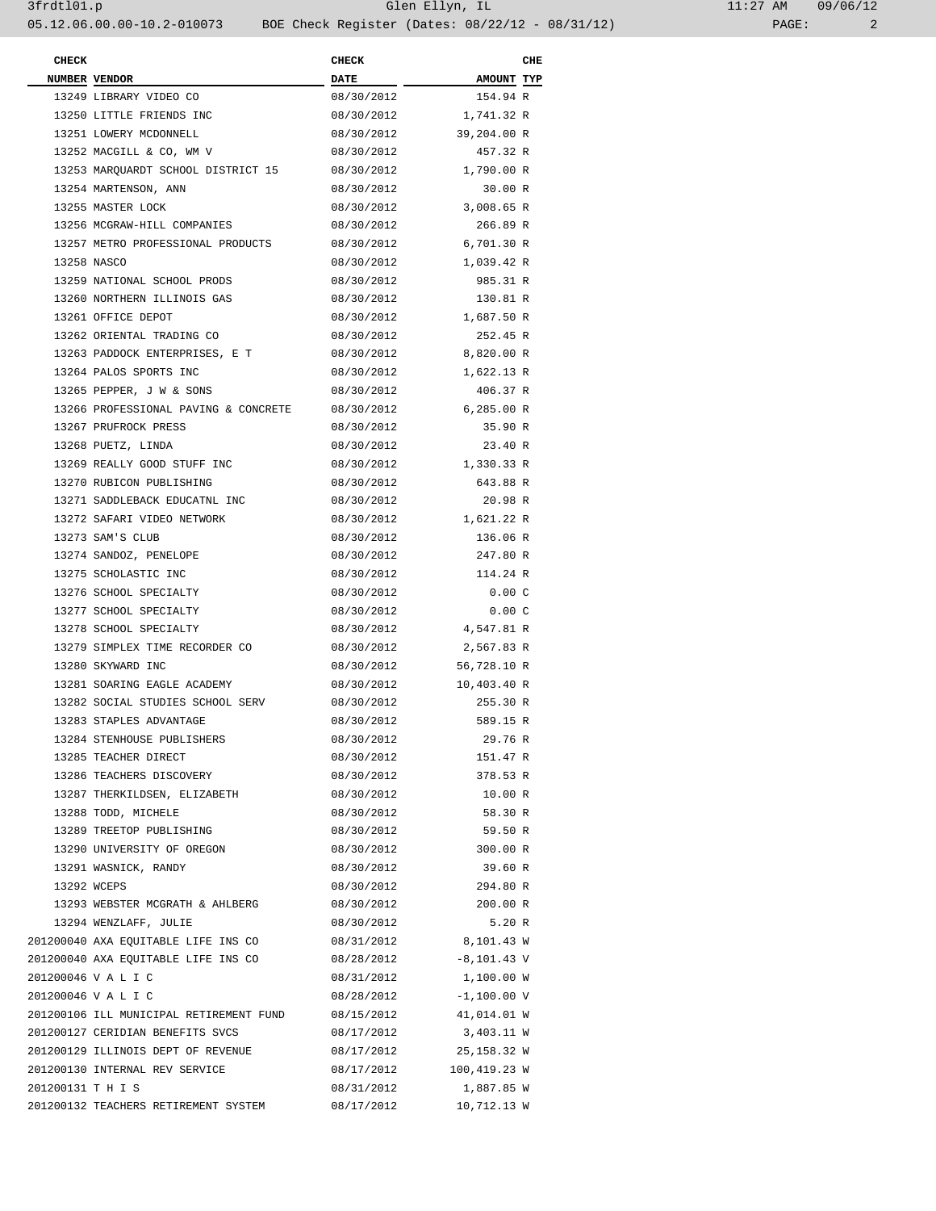| <b>CHECK</b>      |                                         | <b>CHECK</b> |               | CHE |
|-------------------|-----------------------------------------|--------------|---------------|-----|
|                   | NUMBER VENDOR                           | <b>DATE</b>  | AMOUNT TYP    |     |
|                   | 13249 LIBRARY VIDEO CO                  | 08/30/2012   | 154.94 R      |     |
|                   | 13250 LITTLE FRIENDS INC                | 08/30/2012   | 1,741.32 R    |     |
|                   | 13251 LOWERY MCDONNELL                  | 08/30/2012   | 39,204.00 R   |     |
|                   | 13252 MACGILL & CO, WM V                | 08/30/2012   | 457.32 R      |     |
|                   | 13253 MARQUARDT SCHOOL DISTRICT 15      | 08/30/2012   | 1,790.00 R    |     |
|                   | 13254 MARTENSON, ANN                    | 08/30/2012   | 30.00 R       |     |
|                   | 13255 MASTER LOCK                       | 08/30/2012   | 3,008.65 R    |     |
|                   | 13256 MCGRAW-HILL COMPANIES             | 08/30/2012   | 266.89 R      |     |
|                   | 13257 METRO PROFESSIONAL PRODUCTS       | 08/30/2012   | 6,701.30 R    |     |
|                   | 13258 NASCO                             | 08/30/2012   | 1,039.42 R    |     |
|                   | 13259 NATIONAL SCHOOL PRODS             | 08/30/2012   | 985.31 R      |     |
|                   | 13260 NORTHERN ILLINOIS GAS             | 08/30/2012   | 130.81 R      |     |
|                   | 13261 OFFICE DEPOT                      | 08/30/2012   | 1,687.50 R    |     |
|                   | 13262 ORIENTAL TRADING CO               | 08/30/2012   | 252.45 R      |     |
|                   | 13263 PADDOCK ENTERPRISES, E T          | 08/30/2012   | 8,820.00 R    |     |
|                   | 13264 PALOS SPORTS INC                  | 08/30/2012   | 1,622.13 R    |     |
|                   | 13265 PEPPER, J W & SONS                | 08/30/2012   | 406.37 R      |     |
|                   | 13266 PROFESSIONAL PAVING & CONCRETE    | 08/30/2012   | 6,285.00 R    |     |
|                   | 13267 PRUFROCK PRESS                    | 08/30/2012   | 35.90 R       |     |
|                   | 13268 PUETZ, LINDA                      | 08/30/2012   | 23.40 R       |     |
|                   | 13269 REALLY GOOD STUFF INC             | 08/30/2012   | 1,330.33 R    |     |
|                   | 13270 RUBICON PUBLISHING                | 08/30/2012   | 643.88 R      |     |
|                   | 13271 SADDLEBACK EDUCATNL INC           | 08/30/2012   | 20.98 R       |     |
|                   |                                         |              |               |     |
|                   | 13272 SAFARI VIDEO NETWORK              | 08/30/2012   | 1,621.22 R    |     |
|                   | 13273 SAM'S CLUB                        | 08/30/2012   | 136.06 R      |     |
|                   | 13274 SANDOZ, PENELOPE                  | 08/30/2012   | 247.80 R      |     |
|                   | 13275 SCHOLASTIC INC                    | 08/30/2012   | 114.24 R      |     |
|                   | 13276 SCHOOL SPECIALTY                  | 08/30/2012   | 0.00C         |     |
|                   | 13277 SCHOOL SPECIALTY                  | 08/30/2012   | 0.00C         |     |
|                   | 13278 SCHOOL SPECIALTY                  | 08/30/2012   | 4,547.81 R    |     |
|                   | 13279 SIMPLEX TIME RECORDER CO          | 08/30/2012   | 2,567.83 R    |     |
|                   | 13280 SKYWARD INC                       | 08/30/2012   | 56,728.10 R   |     |
|                   | 13281 SOARING EAGLE ACADEMY             | 08/30/2012   | 10,403.40 R   |     |
|                   | 13282 SOCIAL STUDIES SCHOOL SERV        | 08/30/2012   | 255.30 R      |     |
|                   | 13283 STAPLES ADVANTAGE                 | 08/30/2012   | 589.15 R      |     |
|                   | 13284 STENHOUSE PUBLISHERS              | 08/30/2012   | 29.76 R       |     |
|                   | 13285 TEACHER DIRECT                    | 08/30/2012   | 151.47 R      |     |
|                   | 13286 TEACHERS DISCOVERY                | 08/30/2012   | 378.53 R      |     |
|                   | 13287 THERKILDSEN, ELIZABETH            | 08/30/2012   | 10.00 R       |     |
|                   | 13288 TODD, MICHELE                     | 08/30/2012   | 58.30 R       |     |
|                   | 13289 TREETOP PUBLISHING                | 08/30/2012   | 59.50 R       |     |
|                   | 13290 UNIVERSITY OF OREGON              | 08/30/2012   | 300.00 R      |     |
|                   | 13291 WASNICK, RANDY                    | 08/30/2012   | 39.60 R       |     |
|                   | 13292 WCEPS                             | 08/30/2012   | 294.80 R      |     |
|                   | 13293 WEBSTER MCGRATH & AHLBERG         | 08/30/2012   | 200.00 R      |     |
|                   | 13294 WENZLAFF, JULIE                   | 08/30/2012   | 5.20 R        |     |
|                   | 201200040 AXA EQUITABLE LIFE INS CO     | 08/31/2012   | 8,101.43 W    |     |
|                   | 201200040 AXA EQUITABLE LIFE INS CO     | 08/28/2012   | $-8,101.43$ V |     |
|                   | 201200046 V A L I C                     | 08/31/2012   | 1,100.00 W    |     |
|                   | 201200046 V A L I C                     | 08/28/2012   | $-1,100.00$ V |     |
|                   | 201200106 ILL MUNICIPAL RETIREMENT FUND | 08/15/2012   | 41,014.01 W   |     |
|                   | 201200127 CERIDIAN BENEFITS SVCS        | 08/17/2012   | 3,403.11 W    |     |
|                   | 201200129 ILLINOIS DEPT OF REVENUE      | 08/17/2012   | 25,158.32 W   |     |
|                   | 201200130 INTERNAL REV SERVICE          | 08/17/2012   | 100,419.23 W  |     |
| 201200131 T H I S |                                         | 08/31/2012   | 1,887.85 W    |     |
|                   | 201200132 TEACHERS RETIREMENT SYSTEM    | 08/17/2012   | 10,712.13 W   |     |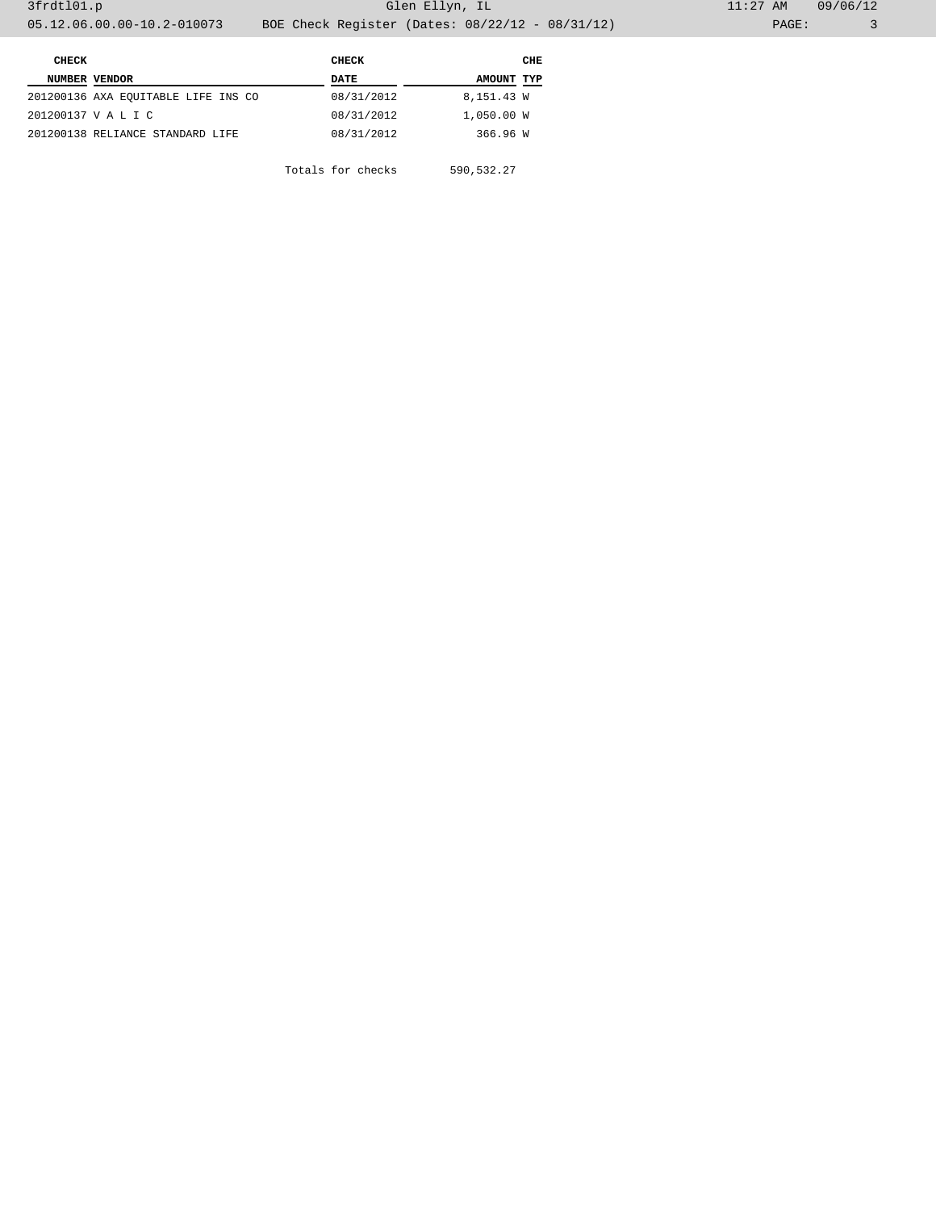| <b>CHECK</b>  |                                     | CHECK      |            | CHE |  |
|---------------|-------------------------------------|------------|------------|-----|--|
| NUMBER VENDOR |                                     | DATE       | AMOUNT TYP |     |  |
|               | 201200136 AXA EQUITABLE LIFE INS CO | 08/31/2012 | 8,151.43 W |     |  |
|               | 201200137 V A L I C                 | 08/31/2012 | 1,050.00 W |     |  |
|               | 201200138 RELIANCE STANDARD LIFE    | 08/31/2012 | 366.96 W   |     |  |
|               |                                     |            |            |     |  |

Totals for checks 590,532.27